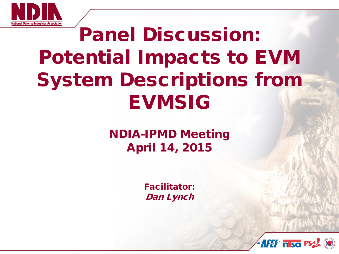

# Panel Discussion: Potential Impacts to EVM System Descriptions from **EVMSIG**

NDIA-IPMD Meeting April 14, 2015

> Facilitator: Dan Lynch

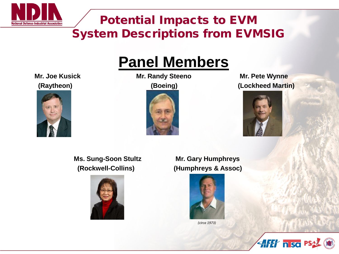

## **Panel Members**



**Mr. Joe Kusick Mr. Randy Steeno Mr. Pete Wynne (Raytheon) (Boeing) (Lockheed Martin)**





2

**AFET n so PS** 

 **Ms. Sung-Soon Stultz Mr. Gary Humphreys**



 **(Rockwell-Collins) (Humphreys & Assoc)**



*(circa 1973)*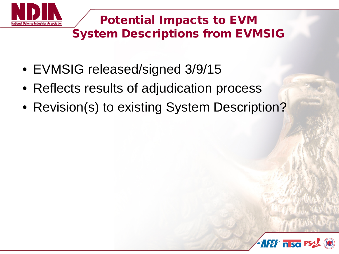

- EVMSIG released/signed 3/9/15
- Reflects results of adjudication process
- Revision(s) to existing System Description?

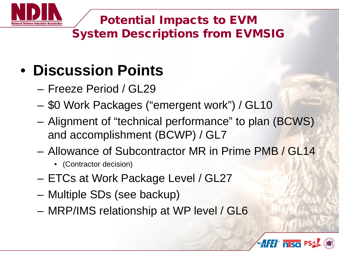

# • **Discussion Points**

- Freeze Period / GL29
- \$0 Work Packages ("emergent work") / GL10
- Alignment of "technical performance" to plan (BCWS) and accomplishment (BCWP) / GL7
- Allowance of Subcontractor MR in Prime PMB / GL14
	- (Contractor decision)
- ETCs at Work Package Level / GL27
- Multiple SDs (see backup)
- MRP/IMS relationship at WP level / GL6

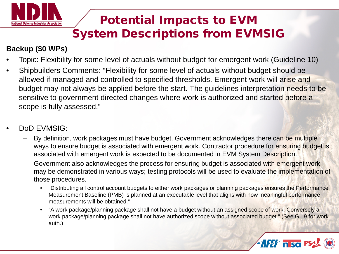

#### **Backup (\$0 WPs)**

- Topic: Flexibility for some level of actuals without budget for emergent work (Guideline 10)
- Shipbuilders Comments: "Flexibility for some level of actuals without budget should be allowed if managed and controlled to specified thresholds. Emergent work will arise and budget may not always be applied before the start. The guidelines interpretation needs to be sensitive to government directed changes where work is authorized and started before a scope is fully assessed."
- DoD EVMSIG:
	- By definition, work packages must have budget. Government acknowledges there can be multiple ways to ensure budget is associated with emergent work. Contractor procedure for ensuring budget is associated with emergent work is expected to be documented in EVM System Description.
	- Government also acknowledges the process for ensuring budget is associated with emergent work may be demonstrated in various ways; testing protocols will be used to evaluate the implementation of those procedures.
		- "Distributing all control account budgets to either work packages or planning packages ensures the Performance Measurement Baseline (PMB) is planned at an executable level that aligns with how meaningful performance measurements will be obtained."
		- "A work package/planning package shall not have a budget without an assigned scope of work. Conversely a work package/planning package shall not have authorized scope without associated budget." (See GL 9 for work auth.)

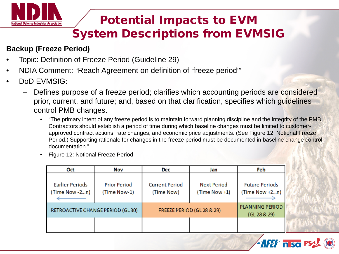

#### **Backup (Freeze Period)**

- Topic: Definition of Freeze Period (Guideline 29)
- NDIA Comment: "Reach Agreement on definition of 'freeze period'"
- DoD EVMSIG:
	- Defines purpose of a freeze period; clarifies which accounting periods are considered prior, current, and future; and, based on that clarification, specifies which guidelines control PMB changes.
		- "The primary intent of any freeze period is to maintain forward planning discipline and the integrity of the PMB. Contractors should establish a period of time during which baseline changes must be limited to customerapproved contract actions, rate changes, and economic price adjustments. (See Figure 12: Notional Freeze Period.) Supporting rationale for changes in the freeze period must be documented in baseline change control documentation."
		- Figure 12: Notional Freeze Period

| Oct                                      | Nov                                 | <b>Dec</b>                          | Jan                            | Feb                                     |
|------------------------------------------|-------------------------------------|-------------------------------------|--------------------------------|-----------------------------------------|
| <b>Earlier Periods</b><br>(Time Now -2n) | <b>Prior Period</b><br>(Time Now-1) | <b>Current Period</b><br>(Time Now) | Next Period<br>$(Time Now +1)$ | <b>Future Periods</b><br>(Time Now +2n) |
| RETROACTIVE CHANGE PERIOD (GL30)         |                                     | FREEZE PERIOD (GL 28 & 29)          |                                | <b>PLANNING PERIOD</b><br>(GL 28 & 29)  |
|                                          |                                     |                                     |                                |                                         |

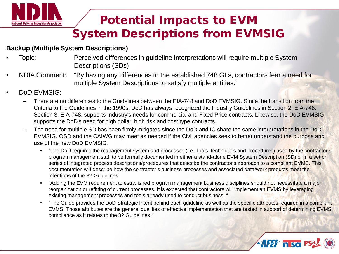

#### **Backup (Multiple System Descriptions)**

- Topic: Perceived differences in guideline interpretations will require multiple System Descriptions (SDs)
- NDIA Comment: "By having any differences to the established 748 GLs, contractors fear a need for multiple System Descriptions to satisfy multiple entities."
- DoD EVMSIG:
	- There are no differences to the Guidelines between the EIA-748 and DoD EVMSIG. Since the transition from the Criteria to the Guidelines in the 1990s, DoD has always recognized the Industry Guidelines in Section 2, EIA-748. Section 3, EIA-748, supports Industry's needs for commercial and Fixed Price contracts. Likewise, the DoD EVMSIG supports the DoD's need for high dollar, high risk and cost type contracts.
	- The need for multiple SD has been firmly mitigated since the DoD and IC share the same interpretations in the DoD EVMSIG. OSD and the CAIWG may meet as needed if the Civil agencies seek to better understand the purpose and use of the new DoD EVMSIG.
		- "The DoD requires the management system and processes (i.e., tools, techniques and procedures) used by the contractor's program management staff to be formally documented in either a stand-alone EVM System Description (SD) or in a set or series of integrated process descriptions/procedures that describe the contractor's approach to a compliant EVMS. This documentation will describe how the contractor's business processes and associated data/work products meet the intentions of the 32 Guidelines."
		- "Adding the EVM requirement to established program management business disciplines should not necessitate a major reorganization or refitting of current processes. It is expected that contractors will implement an EVMS by leveraging existing management processes and tools already used to conduct business. "
		- "The Guide provides the DoD Strategic Intent behind each guideline as well as the specific attributes required in a compliant EVMS. Those attributes are the general qualities of effective implementation that are tested in support of determining EVMS compliance as it relates to the 32 Guidelines."